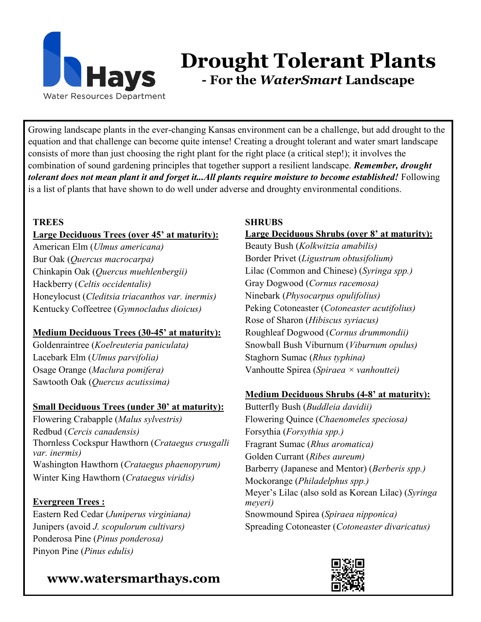

# **Drought Tolerant Plants - For the** *WaterSmart* **Landscape**

Growing landscape plants in the ever-changing Kansas environment can be a challenge, but add drought to the equation and that challenge can become quite intense! Creating a drought tolerant and water smart landscape consists of more than just choosing the right plant for the right place (a critical step!); it involves the combination of sound gardening principles that together support a resilient landscape. *Remember, drought tolerant does not mean plant it and forget it...All plants require moisture to become established!* Following is a list of plants that have shown to do well under adverse and droughty environmental conditions.

#### **TREES**

#### **Large Deciduous Trees (over 45' at maturity):**

American Elm (*Ulmus americana)* Bur Oak (*Quercus macrocarpa)* Chinkapin Oak (*Quercus muehlenbergii)* Hackberry (*Celtis occidentalis)* Honeylocust (*Cleditsia triacanthos var. inermis)* Kentucky Coffeetree (*Gymnocladus dioicus)*

#### **Medium Deciduous Trees (30-45' at maturity):**

Goldenraintree (*Koelreuteria paniculata)* Lacebark Elm (*Ulmus parvifolia)* Osage Orange (*Maclura pomifera)* Sawtooth Oak (*Quercus acutissima)*

#### **Small Deciduous Trees (under 30' at maturity):**

Flowering Crabapple (*Malus sylvestris)* Redbud (*Cercis canadensis)* Thornless Cockspur Hawthorn (*Crataegus crusgalli var. inermis)* Washington Hawthorn (*Crataegus phaenopyrum)* Winter King Hawthorn (*Crataegus viridis)*

#### **Evergreen Trees :**

Eastern Red Cedar (*Juniperus virginiana)* Junipers (avoid *J. scopulorum cultivars)* Ponderosa Pine (*Pinus ponderosa)* Pinyon Pine (*Pinus edulis)*

### **www.watersmarthays.com**

#### **SHRUBS**

#### **Large Deciduous Shrubs (over 8' at maturity):**

Beauty Bush (*Kolkwitzia amabilis)* Border Privet (*Ligustrum obtusifolium)* Lilac (Common and Chinese) (*Syringa spp.)* Gray Dogwood (*Cornus racemosa)* Ninebark (*Physocarpus opulifolius)* Peking Cotoneaster (*Cotoneaster acutifolius)* Rose of Sharon (*Hibiscus syriacus)* Roughleaf Dogwood (*Cornus drummondii)* Snowball Bush Viburnum (*Viburnum opulus)* Staghorn Sumac (*Rhus typhina)* Vanhoutte Spirea (*Spiraea × vanhouttei)*

#### **Medium Deciduous Shrubs (4-8' at maturity):**

Butterfly Bush (*Buddleia davidii)* Flowering Quince (*Chaenomeles speciosa)* Forsythia (*Forsythia spp.)* Fragrant Sumac (*Rhus aromatica)* Golden Currant (*Ribes aureum)* Barberry (Japanese and Mentor) (*Berberis spp.)* Mockorange (*Philadelphus spp.)* Meyer's Lilac (also sold as Korean Lilac) (*Syringa meyeri)* Snowmound Spirea (*Spiraea nipponica)* Spreading Cotoneaster (*Cotoneaster divaricatus)*

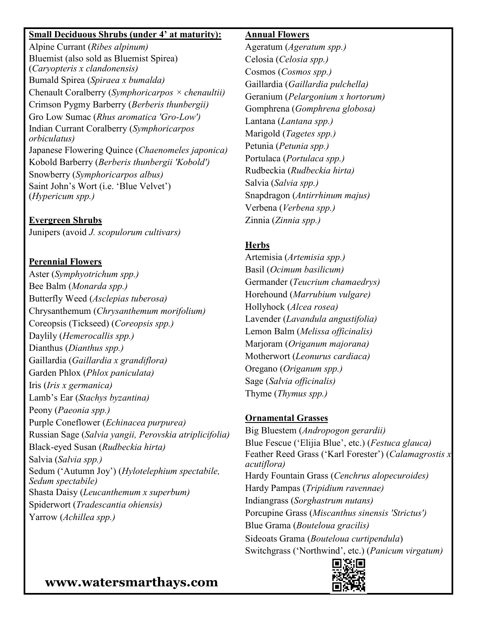#### **Small Deciduous Shrubs (under 4' at maturity):**

Alpine Currant (*Ribes alpinum)* Bluemist (also sold as Bluemist Spirea) (*Caryopteris x clandonensis)* Bumald Spirea (*Spiraea x bumalda)* Chenault Coralberry (*Symphoricarpos × chenaultii)* Crimson Pygmy Barberry (*Berberis thunbergii)* Gro Low Sumac (*Rhus aromatica 'Gro-Low')* Indian Currant Coralberry (*Symphoricarpos orbiculatus)* Japanese Flowering Quince (*Chaenomeles japonica)* Kobold Barberry (*Berberis thunbergii 'Kobold')* Snowberry (*Symphoricarpos albus)* Saint John's Wort (i.e. 'Blue Velvet') (*Hypericum spp.)*

#### **Evergreen Shrubs**

Junipers (avoid *J. scopulorum cultivars)*

#### **Perennial Flowers**

Aster (*Symphyotrichum spp.)* Bee Balm (*Monarda spp.)* Butterfly Weed (*Asclepias tuberosa)* Chrysanthemum (*Chrysanthemum morifolium)* Coreopsis (Tickseed) (*Coreopsis spp.)* Daylily (*Hemerocallis spp.)* Dianthus (*Dianthus spp.)* Gaillardia (*Gaillardia x grandiflora)* Garden Phlox (*Phlox paniculata)* Iris (*Iris x germanica)* Lamb's Ear (*Stachys byzantina)* Peony (*Paeonia spp.)* Purple Coneflower (*Echinacea purpurea)* Russian Sage (*Salvia yangii, Perovskia atriplicifolia)* Black-eyed Susan (*Rudbeckia hirta)* Salvia (*Salvia spp.)* Sedum ('Autumn Joy') (*Hylotelephium spectabile, Sedum spectabile)* Shasta Daisy (*Leucanthemum x superbum)* Spiderwort (*Tradescantia ohiensis)* Yarrow (*Achillea spp.)*

#### **Annual Flowers**

Ageratum (*Ageratum spp.)* Celosia (*Celosia spp.)* Cosmos (*Cosmos spp.)* Gaillardia (*Gaillardia pulchella)* Geranium (*Pelargonium x hortorum)* Gomphrena (*Gomphrena globosa)* Lantana (*Lantana spp.)* Marigold (*Tagetes spp.)* Petunia (*Petunia spp.)* Portulaca (*Portulaca spp.)* Rudbeckia (*Rudbeckia hirta)* Salvia (*Salvia spp.)* Snapdragon (*Antirrhinum majus)* Verbena (*Verbena spp.)* Zinnia (*Zinnia spp.)*

#### **Herbs**

Artemisia (*Artemisia spp.)* Basil (*Ocimum basilicum)* Germander (*Teucrium chamaedrys)* Horehound (*Marrubium vulgare)* Hollyhock (*Alcea rosea)* Lavender (*Lavandula angustifolia)* Lemon Balm (*Melissa officinalis)* Marjoram (*Origanum majorana)* Motherwort (*Leonurus cardiaca)* Oregano (*Origanum spp.)* Sage (*Salvia officinalis)* Thyme (*Thymus spp.)*

#### **Ornamental Grasses**

Big Bluestem (*Andropogon gerardii)* Blue Fescue ('Elijia Blue', etc.) (*Festuca glauca)* Feather Reed Grass ('Karl Forester') (*Calamagrostis x acutiflora)* Hardy Fountain Grass (*Cenchrus alopecuroides)* Hardy Pampas (*Tripidium ravennae)* Indiangrass (*Sorghastrum nutans)* Porcupine Grass (*Miscanthus sinensis 'Strictus')* Blue Grama (*Bouteloua gracilis)* Sideoats Grama (*Bouteloua curtipendula*) Switchgrass ('Northwind', etc.) (*Panicum virgatum)*



### **www.watersmarthays.com**